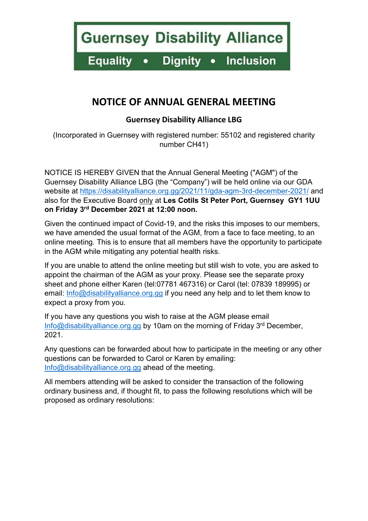**Guernsey Disability Alliance** 

**Dignity Equality** • Inclusion  $\bullet$ 

# NOTICE OF ANNUAL GENERAL MEETING

## Guernsey Disability Alliance LBG

(Incorporated in Guernsey with registered number: 55102 and registered charity number CH41)

NOTICE IS HEREBY GIVEN that the Annual General Meeting ("AGM") of the Guernsey Disability Alliance LBG (the "Company") will be held online via our GDA website at https://disabilityalliance.org.gg/2021/11/gda-agm-3rd-december-2021/ and also for the Executive Board only at Les Cotils St Peter Port, Guernsey GY1 1UU on Friday 3rd December 2021 at 12:00 noon.

Given the continued impact of Covid-19, and the risks this imposes to our members, we have amended the usual format of the AGM, from a face to face meeting, to an online meeting. This is to ensure that all members have the opportunity to participate in the AGM while mitigating any potential health risks.

If you are unable to attend the online meeting but still wish to vote, you are asked to appoint the chairman of the AGM as your proxy. Please see the separate proxy sheet and phone either Karen (tel:07781 467316) or Carol (tel: 07839 189995) or email: Info@disabilityalliance.org.gg if you need any help and to let them know to expect a proxy from you.

If you have any questions you wish to raise at the AGM please email Info@disabilityalliance.org.gg by 10am on the morning of Friday 3<sup>rd</sup> December, 2021.

Any questions can be forwarded about how to participate in the meeting or any other questions can be forwarded to Carol or Karen by emailing: Info@disabilityalliance.org.gg ahead of the meeting.

All members attending will be asked to consider the transaction of the following ordinary business and, if thought fit, to pass the following resolutions which will be proposed as ordinary resolutions: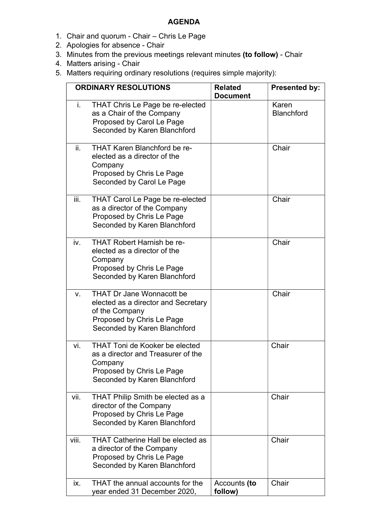#### AGENDA

- 1. Chair and quorum Chair Chris Le Page
- 2. Apologies for absence Chair
- 3. Minutes from the previous meetings relevant minutes (to follow) Chair
- 4. Matters arising Chair
- 5. Matters requiring ordinary resolutions (requires simple majority):

| <b>ORDINARY RESOLUTIONS</b> |                                                                                                                                                        | <b>Related</b><br><b>Document</b> | <b>Presented by:</b>       |
|-----------------------------|--------------------------------------------------------------------------------------------------------------------------------------------------------|-----------------------------------|----------------------------|
| i.                          | <b>THAT Chris Le Page be re-elected</b><br>as a Chair of the Company<br>Proposed by Carol Le Page<br>Seconded by Karen Blanchford                      |                                   | Karen<br><b>Blanchford</b> |
| ii.                         | THAT Karen Blanchford be re-<br>elected as a director of the<br>Company<br>Proposed by Chris Le Page<br>Seconded by Carol Le Page                      |                                   | Chair                      |
| iii.                        | THAT Carol Le Page be re-elected<br>as a director of the Company<br>Proposed by Chris Le Page<br>Seconded by Karen Blanchford                          |                                   | Chair                      |
| iv.                         | <b>THAT Robert Harnish be re-</b><br>elected as a director of the<br>Company<br>Proposed by Chris Le Page<br>Seconded by Karen Blanchford              |                                   | Chair                      |
| V.                          | <b>THAT Dr Jane Wonnacott be</b><br>elected as a director and Secretary<br>of the Company<br>Proposed by Chris Le Page<br>Seconded by Karen Blanchford |                                   | Chair                      |
| vi.                         | <b>THAT Toni de Kooker be elected</b><br>as a director and Treasurer of the<br>Company<br>Proposed by Chris Le Page<br>Seconded by Karen Blanchford    |                                   | Chair                      |
| vii.                        | THAT Philip Smith be elected as a<br>director of the Company<br>Proposed by Chris Le Page<br>Seconded by Karen Blanchford                              |                                   | Chair                      |
| viii.                       | <b>THAT Catherine Hall be elected as</b><br>a director of the Company<br>Proposed by Chris Le Page<br>Seconded by Karen Blanchford                     |                                   | Chair                      |
| ix.                         | THAT the annual accounts for the<br>year ended 31 December 2020,                                                                                       | Accounts (to<br>follow)           | Chair                      |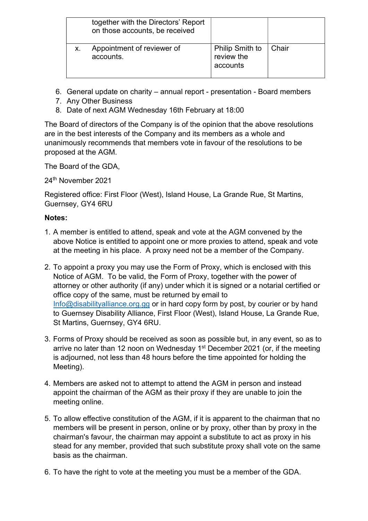| together with the Directors' Report<br>on those accounts, be received |                                                  |       |
|-----------------------------------------------------------------------|--------------------------------------------------|-------|
| Appointment of reviewer of<br>accounts.                               | <b>Philip Smith to</b><br>review the<br>accounts | Chair |

- 6. General update on charity annual report presentation Board members
- 7. Any Other Business
- 8. Date of next AGM Wednesday 16th February at 18:00

The Board of directors of the Company is of the opinion that the above resolutions are in the best interests of the Company and its members as a whole and unanimously recommends that members vote in favour of the resolutions to be proposed at the AGM.

The Board of the GDA,

24th November 2021

Registered office: First Floor (West), Island House, La Grande Rue, St Martins, Guernsey, GY4 6RU

## Notes:

- 1. A member is entitled to attend, speak and vote at the AGM convened by the above Notice is entitled to appoint one or more proxies to attend, speak and vote at the meeting in his place. A proxy need not be a member of the Company.
- 2. To appoint a proxy you may use the Form of Proxy, which is enclosed with this Notice of AGM. To be valid, the Form of Proxy, together with the power of attorney or other authority (if any) under which it is signed or a notarial certified or office copy of the same, must be returned by email to Info@disabilityalliance.org.gg or in hard copy form by post, by courier or by hand to Guernsey Disability Alliance, First Floor (West), Island House, La Grande Rue, St Martins, Guernsey, GY4 6RU.
- 3. Forms of Proxy should be received as soon as possible but, in any event, so as to arrive no later than 12 noon on Wednesday  $1<sup>st</sup>$  December 2021 (or, if the meeting is adjourned, not less than 48 hours before the time appointed for holding the Meeting).
- 4. Members are asked not to attempt to attend the AGM in person and instead appoint the chairman of the AGM as their proxy if they are unable to join the meeting online.
- 5. To allow effective constitution of the AGM, if it is apparent to the chairman that no members will be present in person, online or by proxy, other than by proxy in the chairman's favour, the chairman may appoint a substitute to act as proxy in his stead for any member, provided that such substitute proxy shall vote on the same basis as the chairman.
- 6. To have the right to vote at the meeting you must be a member of the GDA.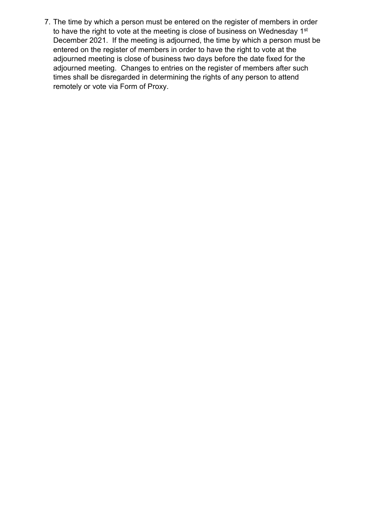7. The time by which a person must be entered on the register of members in order to have the right to vote at the meeting is close of business on Wednesday 1<sup>st</sup> December 2021. If the meeting is adjourned, the time by which a person must be entered on the register of members in order to have the right to vote at the adjourned meeting is close of business two days before the date fixed for the adjourned meeting. Changes to entries on the register of members after such times shall be disregarded in determining the rights of any person to attend remotely or vote via Form of Proxy.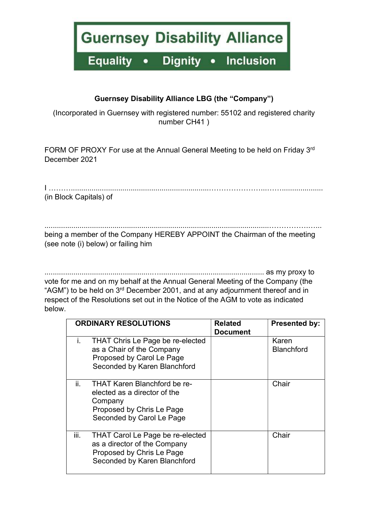**Guernsey Disability Alliance** 

**Equality Dignity** • Inclusion  $\bullet$ 

### Guernsey Disability Alliance LBG (the "Company")

(Incorporated in Guernsey with registered number: 55102 and registered charity number CH41 )

FORM OF PROXY For use at the Annual General Meeting to be held on Friday 3<sup>rd</sup> December 2021

I ………...................................................................…………………...…….................... (in Block Capitals) of

.............................................................................................................…………….…... being a member of the Company HEREBY APPOINT the Chairman of the meeting (see note (i) below) or failing him

....................................................…................................................... as my proxy to vote for me and on my behalf at the Annual General Meeting of the Company (the "AGM") to be held on 3<sup>rd</sup> December 2001, and at any adjournment thereof and in respect of the Resolutions set out in the Notice of the AGM to vote as indicated below.

|      | <b>ORDINARY RESOLUTIONS</b>                                                                                                              | <b>Related</b><br><b>Document</b> | <b>Presented by:</b>       |
|------|------------------------------------------------------------------------------------------------------------------------------------------|-----------------------------------|----------------------------|
| i.   | <b>THAT Chris Le Page be re-elected</b><br>as a Chair of the Company<br>Proposed by Carol Le Page<br>Seconded by Karen Blanchford        |                                   | Karen<br><b>Blanchford</b> |
| ii.  | <b>THAT Karen Blanchford be re-</b><br>elected as a director of the<br>Company<br>Proposed by Chris Le Page<br>Seconded by Carol Le Page |                                   | Chair                      |
| iii. | <b>THAT Carol Le Page be re-elected</b><br>as a director of the Company<br>Proposed by Chris Le Page<br>Seconded by Karen Blanchford     |                                   | Chair                      |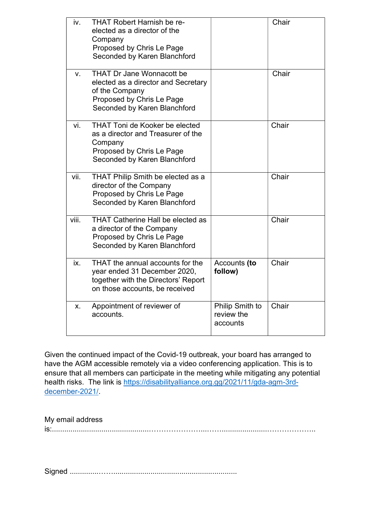| iv.   | <b>THAT Robert Harnish be re-</b><br>elected as a director of the<br>Company<br>Proposed by Chris Le Page<br>Seconded by Karen Blanchford              |                                           | Chair |
|-------|--------------------------------------------------------------------------------------------------------------------------------------------------------|-------------------------------------------|-------|
| V.    | <b>THAT Dr Jane Wonnacott be</b><br>elected as a director and Secretary<br>of the Company<br>Proposed by Chris Le Page<br>Seconded by Karen Blanchford |                                           | Chair |
| vi.   | <b>THAT Toni de Kooker be elected</b><br>as a director and Treasurer of the<br>Company<br>Proposed by Chris Le Page<br>Seconded by Karen Blanchford    |                                           | Chair |
| vii.  | THAT Philip Smith be elected as a<br>director of the Company<br>Proposed by Chris Le Page<br>Seconded by Karen Blanchford                              |                                           | Chair |
| viii. | <b>THAT Catherine Hall be elected as</b><br>a director of the Company<br>Proposed by Chris Le Page<br>Seconded by Karen Blanchford                     |                                           | Chair |
| ix.   | THAT the annual accounts for the<br>year ended 31 December 2020,<br>together with the Directors' Report<br>on those accounts, be received              | Accounts (to<br>follow)                   | Chair |
| Х.    | Appointment of reviewer of<br>accounts.                                                                                                                | Philip Smith to<br>review the<br>accounts | Chair |

Given the continued impact of the Covid-19 outbreak, your board has arranged to have the AGM accessible remotely via a video conferencing application. This is to ensure that all members can participate in the meeting while mitigating any potential health risks. The link is https://disabilityalliance.org.gg/2021/11/gda-agm-3rddecember-2021/.

My email address is:...............................................…………………...……......................………………..

Signed ..............……............................................................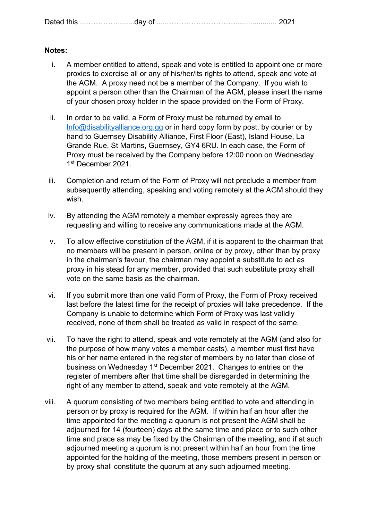| <u>una uav</u> | Dated this |  |  |
|----------------|------------|--|--|
|----------------|------------|--|--|

#### Notes:

- i. A member entitled to attend, speak and vote is entitled to appoint one or more proxies to exercise all or any of his/her/its rights to attend, speak and vote at the AGM. A proxy need not be a member of the Company. If you wish to appoint a person other than the Chairman of the AGM, please insert the name of your chosen proxy holder in the space provided on the Form of Proxy.
- ii. In order to be valid, a Form of Proxy must be returned by email to Info@disabilityalliance.org.gg or in hard copy form by post, by courier or by hand to Guernsey Disability Alliance, First Floor (East), Island House, La Grande Rue, St Martins, Guernsey, GY4 6RU. In each case, the Form of Proxy must be received by the Company before 12:00 noon on Wednesday 1 st December 2021.
- iii. Completion and return of the Form of Proxy will not preclude a member from subsequently attending, speaking and voting remotely at the AGM should they wish.
- iv. By attending the AGM remotely a member expressly agrees they are requesting and willing to receive any communications made at the AGM.
- v. To allow effective constitution of the AGM, if it is apparent to the chairman that no members will be present in person, online or by proxy, other than by proxy in the chairman's favour, the chairman may appoint a substitute to act as proxy in his stead for any member, provided that such substitute proxy shall vote on the same basis as the chairman.
- vi. If you submit more than one valid Form of Proxy, the Form of Proxy received last before the latest time for the receipt of proxies will take precedence. If the Company is unable to determine which Form of Proxy was last validly received, none of them shall be treated as valid in respect of the same.
- vii. To have the right to attend, speak and vote remotely at the AGM (and also for the purpose of how many votes a member casts), a member must first have his or her name entered in the register of members by no later than close of business on Wednesday 1st December 2021. Changes to entries on the register of members after that time shall be disregarded in determining the right of any member to attend, speak and vote remotely at the AGM.
- viii. A quorum consisting of two members being entitled to vote and attending in person or by proxy is required for the AGM. If within half an hour after the time appointed for the meeting a quorum is not present the AGM shall be adjourned for 14 (fourteen) days at the same time and place or to such other time and place as may be fixed by the Chairman of the meeting, and if at such adjourned meeting a quorum is not present within half an hour from the time appointed for the holding of the meeting, those members present in person or by proxy shall constitute the quorum at any such adjourned meeting.